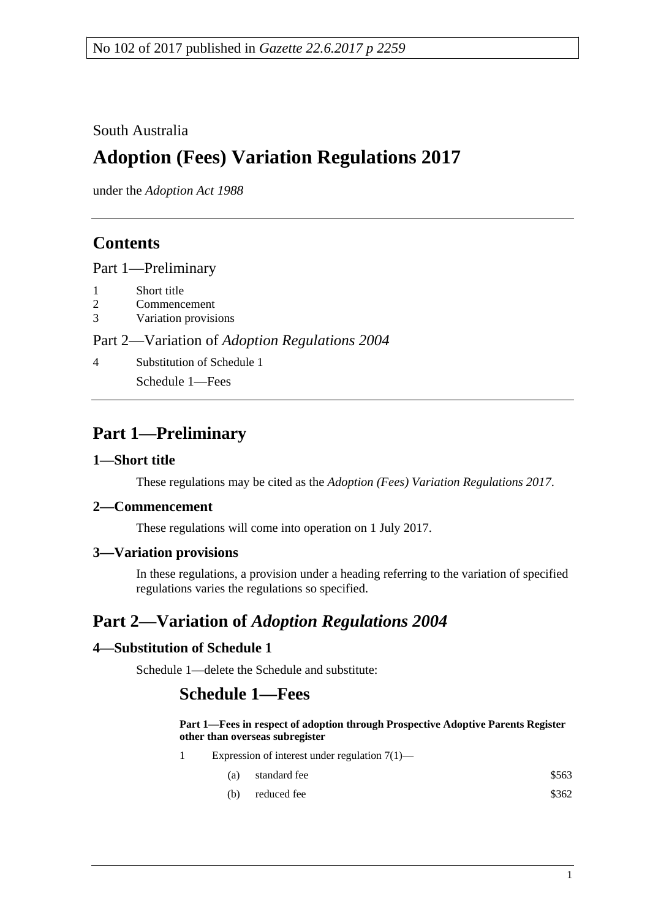### South Australia

# **Adoption (Fees) Variation Regulations 2017**

under the *Adoption Act 1988*

## **Contents**

Part [1—Preliminary](#page-0-0)

- 1 [Short title](#page-0-1)
- 2 [Commencement](#page-0-2)
- 3 [Variation provisions](#page-0-3)

#### Part 2—Variation of *[Adoption Regulations](#page-0-4) 2004*

4 [Substitution of Schedule](#page-0-5) 1

Schedule 1—Fees

## <span id="page-0-0"></span>**Part 1—Preliminary**

#### <span id="page-0-1"></span>**1—Short title**

These regulations may be cited as the *Adoption (Fees) Variation Regulations 2017*.

#### <span id="page-0-2"></span>**2—Commencement**

These regulations will come into operation on 1 July 2017.

### <span id="page-0-3"></span>**3—Variation provisions**

In these regulations, a provision under a heading referring to the variation of specified regulations varies the regulations so specified.

## <span id="page-0-4"></span>**Part 2—Variation of** *Adoption Regulations 2004*

### <span id="page-0-5"></span>**4—Substitution of Schedule 1**

Schedule 1—delete the Schedule and substitute:

## **Schedule 1—Fees**

#### **Part 1—Fees in respect of adoption through Prospective Adoptive Parents Register other than overseas subregister**

- 1 Expression of interest under regulation 7(1)—
	- (a) standard fee  $$563$
	- (b) reduced fee  $$362$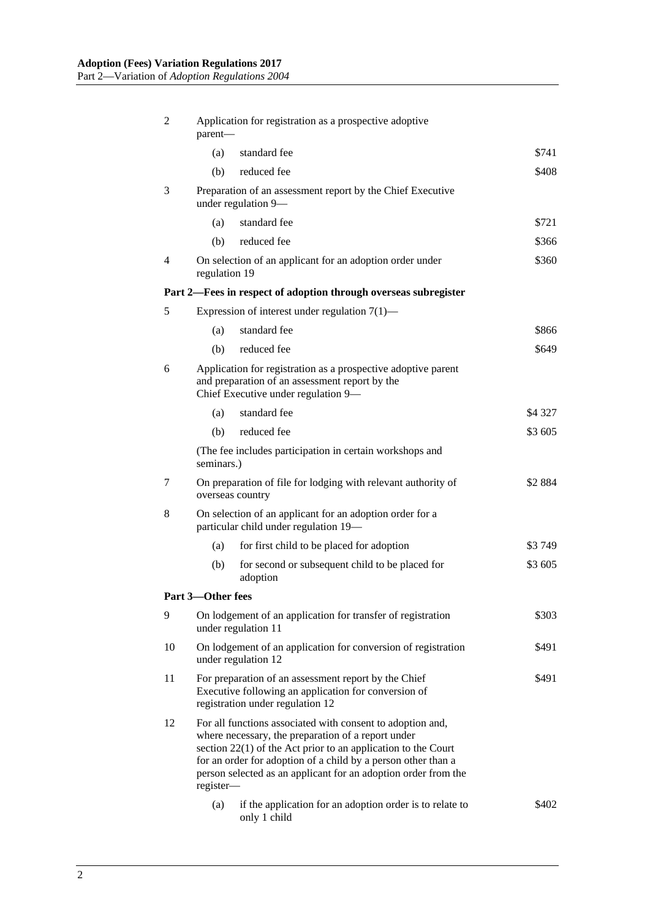| 2                                                               | Application for registration as a prospective adoptive<br>parent-                                                                                                                                                                                                                                                                   |                                                                                                                                                           |           |
|-----------------------------------------------------------------|-------------------------------------------------------------------------------------------------------------------------------------------------------------------------------------------------------------------------------------------------------------------------------------------------------------------------------------|-----------------------------------------------------------------------------------------------------------------------------------------------------------|-----------|
|                                                                 | (a)                                                                                                                                                                                                                                                                                                                                 | standard fee                                                                                                                                              | \$741     |
|                                                                 | (b)                                                                                                                                                                                                                                                                                                                                 | reduced fee                                                                                                                                               | \$408     |
| 3                                                               | Preparation of an assessment report by the Chief Executive<br>under regulation 9-                                                                                                                                                                                                                                                   |                                                                                                                                                           |           |
|                                                                 | (a)                                                                                                                                                                                                                                                                                                                                 | standard fee                                                                                                                                              | \$721     |
|                                                                 | (b)                                                                                                                                                                                                                                                                                                                                 | reduced fee                                                                                                                                               | \$366     |
| $\overline{4}$                                                  | regulation 19                                                                                                                                                                                                                                                                                                                       | On selection of an applicant for an adoption order under                                                                                                  | \$360     |
| Part 2—Fees in respect of adoption through overseas subregister |                                                                                                                                                                                                                                                                                                                                     |                                                                                                                                                           |           |
| 5                                                               | Expression of interest under regulation $7(1)$ —                                                                                                                                                                                                                                                                                    |                                                                                                                                                           |           |
|                                                                 | (a)                                                                                                                                                                                                                                                                                                                                 | standard fee                                                                                                                                              | \$866     |
|                                                                 | (b)                                                                                                                                                                                                                                                                                                                                 | reduced fee                                                                                                                                               | \$649     |
| 6                                                               | Application for registration as a prospective adoptive parent<br>and preparation of an assessment report by the<br>Chief Executive under regulation 9-                                                                                                                                                                              |                                                                                                                                                           |           |
|                                                                 | (a)                                                                                                                                                                                                                                                                                                                                 | standard fee                                                                                                                                              | \$4 3 27  |
|                                                                 | (b)                                                                                                                                                                                                                                                                                                                                 | reduced fee                                                                                                                                               | \$3 605   |
|                                                                 | (The fee includes participation in certain workshops and<br>seminars.)                                                                                                                                                                                                                                                              |                                                                                                                                                           |           |
| 7                                                               | On preparation of file for lodging with relevant authority of<br>overseas country                                                                                                                                                                                                                                                   |                                                                                                                                                           | \$2 8 8 4 |
| 8                                                               | On selection of an applicant for an adoption order for a<br>particular child under regulation 19-                                                                                                                                                                                                                                   |                                                                                                                                                           |           |
|                                                                 | (a)                                                                                                                                                                                                                                                                                                                                 | for first child to be placed for adoption                                                                                                                 | \$3 749   |
|                                                                 | (b)                                                                                                                                                                                                                                                                                                                                 | for second or subsequent child to be placed for<br>adoption                                                                                               | \$3 605   |
|                                                                 | Part 3-Other fees                                                                                                                                                                                                                                                                                                                   |                                                                                                                                                           |           |
| 9                                                               |                                                                                                                                                                                                                                                                                                                                     | On lodgement of an application for transfer of registration<br>under regulation 11                                                                        | \$303     |
| 10                                                              |                                                                                                                                                                                                                                                                                                                                     | On lodgement of an application for conversion of registration<br>\$491<br>under regulation 12                                                             |           |
| 11                                                              |                                                                                                                                                                                                                                                                                                                                     | For preparation of an assessment report by the Chief<br>\$491<br>Executive following an application for conversion of<br>registration under regulation 12 |           |
| 12                                                              | For all functions associated with consent to adoption and,<br>where necessary, the preparation of a report under<br>section $22(1)$ of the Act prior to an application to the Court<br>for an order for adoption of a child by a person other than a<br>person selected as an applicant for an adoption order from the<br>register- |                                                                                                                                                           |           |
|                                                                 | (a)                                                                                                                                                                                                                                                                                                                                 | if the application for an adoption order is to relate to<br>only 1 child                                                                                  | \$402     |